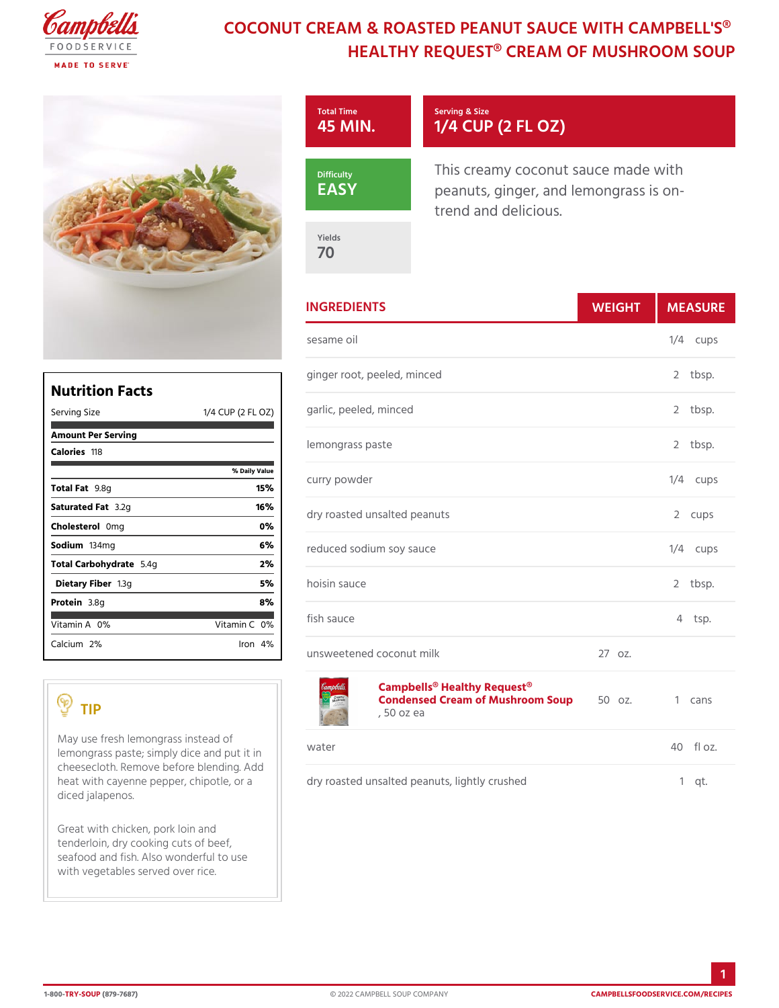## COCONUT CREAM & ROASTED PEANUT SAUC HEALTHY REQUEST® CREAM OF MI



|                                   |                | <b>INGREDIENTS</b>                                                    | WEIGH<br>MEASU                                                                                                                                                                                                                                                                                                                                                                                                                                                           |
|-----------------------------------|----------------|-----------------------------------------------------------------------|--------------------------------------------------------------------------------------------------------------------------------------------------------------------------------------------------------------------------------------------------------------------------------------------------------------------------------------------------------------------------------------------------------------------------------------------------------------------------|
|                                   |                | sesame oil                                                            | $1/4$ cups                                                                                                                                                                                                                                                                                                                                                                                                                                                               |
| <b>Nutrition Facts</b>            |                | ginger root, peeled, minced                                           | 2 tbsp.                                                                                                                                                                                                                                                                                                                                                                                                                                                                  |
| Serving Size                      |                | 1/4 CUP (2 FL @ 2) rlic, peeled, minced                               | 2 tbsp.                                                                                                                                                                                                                                                                                                                                                                                                                                                                  |
| Amount Per Serving<br>Caloriels18 |                | lemongrass paste                                                      | 2 tbsp.                                                                                                                                                                                                                                                                                                                                                                                                                                                                  |
|                                   | % Daily Vallue | curry powder                                                          | $1/4$ cups                                                                                                                                                                                                                                                                                                                                                                                                                                                               |
| Total Fat8q                       | 15%            |                                                                       |                                                                                                                                                                                                                                                                                                                                                                                                                                                                          |
| Saturated 3F. 2 tg                | 16%            | dry roasted unsalted peanuts                                          | 2 cups                                                                                                                                                                                                                                                                                                                                                                                                                                                                   |
| Choleste@onlg                     | $0\%$          |                                                                       |                                                                                                                                                                                                                                                                                                                                                                                                                                                                          |
| Sodium 34mg                       | 6 %            | reduced sodium soy sauce                                              | $1/4$ cups                                                                                                                                                                                                                                                                                                                                                                                                                                                               |
| Total Carbohy 5d.r 4age           | 2%             |                                                                       |                                                                                                                                                                                                                                                                                                                                                                                                                                                                          |
| Dietary F1ib3egr                  | 5 %            | hoisin sauce                                                          | 2 tbsp.                                                                                                                                                                                                                                                                                                                                                                                                                                                                  |
| Proteia.8g                        | 8%             |                                                                       |                                                                                                                                                                                                                                                                                                                                                                                                                                                                          |
| Vitamin0A%                        | Vitamin0%      | fish sauce                                                            | 4 tsp.                                                                                                                                                                                                                                                                                                                                                                                                                                                                   |
| Calciu2m%                         | $l$ ron $4\%$  | a de la casa de la casa de la ferra de la casa de la casa de la ferra | $\cap$ $\overline{\phantom{a}}$ $\overline{\phantom{a}}$ $\overline{\phantom{a}}$ $\overline{\phantom{a}}$ $\overline{\phantom{a}}$ $\overline{\phantom{a}}$ $\overline{\phantom{a}}$ $\overline{\phantom{a}}$ $\overline{\phantom{a}}$ $\overline{\phantom{a}}$ $\overline{\phantom{a}}$ $\overline{\phantom{a}}$ $\overline{\phantom{a}}$ $\overline{\phantom{a}}$ $\overline{\phantom{a}}$ $\overline{\phantom{a}}$ $\overline{\phantom{a}}$ $\overline{\phantom{a}}$ |

unsweetened coconut milk 27 oz.

[Campbells® Healthy Req](https://www.campbellsfoodservice.com/product/campbells-classic-condensed-healthy-request-cream-of-mushroom-soup)uest® Condensed Cream of Mushroom zSoup1 cans , 50 oz ea

May use fresh lemongrass instead of lemongrass paste; simply dice and put it in water cheesecloth. Remove before blending. Add heat with cayenne pepper,  $|c \text{ h}$  ipdortyler, o astæd unsalted peanuts, lightly crushed 1 qt. diced jalapenos. Great with chicken, pork loin and tenderloin, dry cooking cuts of beef,  $40$  fl  $oz.$ 

seafood and fish. Also wonderful to use with vegetables served over rice.

TIP